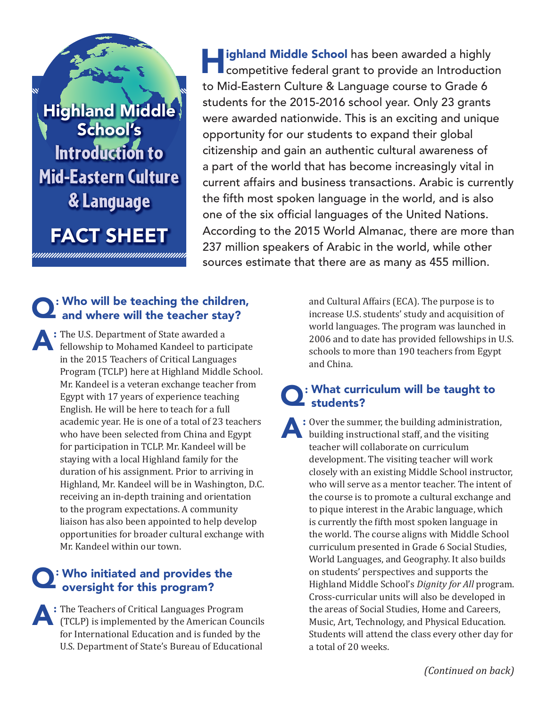u Highland Middle School's Introduction to Mid-Eastern Culture & Language

FACT SHEET

**Land Middle School** has been awarded a highly competitive federal grant to provide an Introduction to Mid-Eastern Culture & Language course to Grade 6 students for the 2015-2016 school year. Only 23 grants were awarded nationwide. This is an exciting and unique opportunity for our students to expand their global citizenship and gain an authentic cultural awareness of a part of the world that has become increasingly vital in current affairs and business transactions. Arabic is currently the fifth most spoken language in the world, and is also one of the six official languages of the United Nations. According to the 2015 World Almanac, there are more than 237 million speakers of Arabic in the world, while other sources estimate that there are as many as 455 million.

# $\Omega$ : Who will be teaching the children, and where will the teacher stay?

A: The U.S. Department of State awarded a fellowship to Mohamed Kandeel to participate in the 2015 Teachers of Critical Languages Program (TCLP) here at Highland Middle School. Mr. Kandeel is a veteran exchange teacher from Egypt with 17 years of experience teaching English. He will be here to teach for a full academic year. He is one of a total of 23 teachers who have been selected from China and Egypt for participation in TCLP. Mr. Kandeel will be staying with a local Highland family for the duration of his assignment. Prior to arriving in Highland, Mr. Kandeel will be in Washington, D.C. receiving an in-depth training and orientation to the program expectations. A community liaison has also been appointed to help develop opportunities for broader cultural exchange with Mr. Kandeel within our town.

# Q: Who initiated and provides the oversight for this program?

A: The Teachers of Critical Languages Program (TCLP) is implemented by the American Councils for International Education and is funded by the U.S. Department of State's Bureau of Educational

and Cultural Affairs (ECA). The purpose is to increase U.S. students' study and acquisition of world languages. The program was launched in 2006 and to date has provided fellowships in U.S. schools to more than 190 teachers from Egypt and China.

#### : What curriculum will be taught to students?

 $\cdot$  : Over the summer, the building administration, building instructional staff, and the visiting teacher will collaborate on curriculum development. The visiting teacher will work closely with an existing Middle School instructor, who will serve as a mentor teacher. The intent of the course is to promote a cultural exchange and to pique interest in the Arabic language, which is currently the fifth most spoken language in the world. The course aligns with Middle School curriculum presented in Grade 6 Social Studies, World Languages, and Geography. It also builds on students' perspectives and supports the Highland Middle School's *Dignity for All* program. Cross-curricular units will also be developed in the areas of Social Studies, Home and Careers, Music, Art, Technology, and Physical Education. Students will attend the class every other day for a total of 20 weeks.